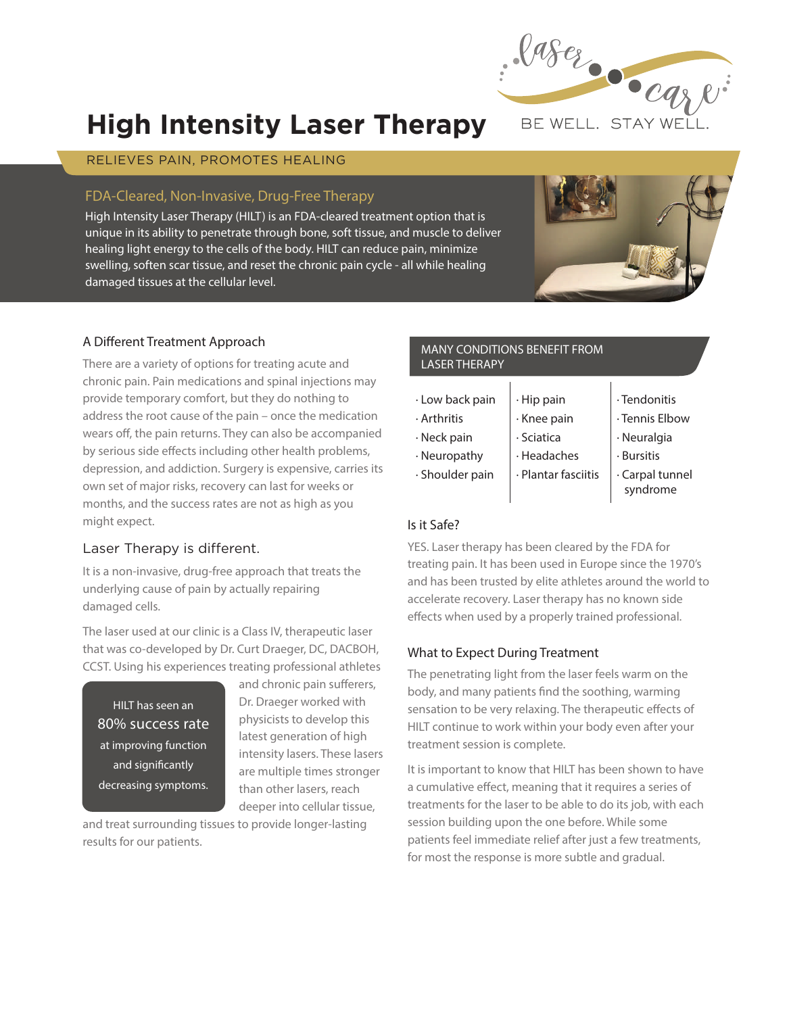

# **High Intensity Laser Therapy**

## RELIEVES PAIN, PROMOTES HEALING

## FDA-Cleared, Non-Invasive, Drug-Free Therapy

High Intensity Laser Therapy (HILT) is an FDA-cleared treatment option that is unique in its ability to penetrate through bone, soft tissue, and muscle to deliver healing light energy to the cells of the body. HILT can reduce pain, minimize swelling, soften scar tissue, and reset the chronic pain cycle - all while healing damaged tissues at the cellular level.



## **A Different Treatment Approach**

There are a variety of options for treating acute and chronic pain. Pain medications and spinal injections may provide temporary comfort, but they do nothing to address the root cause of the pain – once the medication wears off, the pain returns. They can also be accompanied by serious side effects including other health problems, depression, and addiction. Surgery is expensive, carries its own set of major risks, recovery can last for weeks or months, and the success rates are not as high as you might expect.

## Laser Therapy is different.

It is a non-invasive, drug-free approach that treats the underlying cause of pain by actually repairing damaged cells.

The laser used at our clinic is a Class IV, therapeutic laser that was co-developed by Dr. Curt Draeger, DC, DACBOH, CCST. Using his experiences treating professional athletes

HILT has seen an **80% success rate** at improving function and significantly decreasing symptoms.

and chronic pain sufferers, Dr. Draeger worked with physicists to develop this latest generation of high intensity lasers. These lasers are multiple times stronger than other lasers, reach deeper into cellular tissue,

and treat surrounding tissues to provide longer-lasting results for our patients.

#### MANY CONDITIONS BENEFIT FROM LASER THERAPY

- · Low back pain
- · Arthritis
- · Neck pain

· Shoulder pain

- · Neuropathy · Headaches
	- · Plantar fasciitis

· Hip pain · Knee pain · Sciatica

- · Tendonitis
- · Tennis Elbow
- · Neuralgia
- · Bursitis
- · Carpal tunnel syndrome

## **Is it Safe?**

YES. Laser therapy has been cleared by the FDA for treating pain. It has been used in Europe since the 1970's and has been trusted by elite athletes around the world to accelerate recovery. Laser therapy has no known side effects when used by a properly trained professional.

## **What to Expect During Treatment**

The penetrating light from the laser feels warm on the body, and many patients find the soothing, warming sensation to be very relaxing. The therapeutic effects of HILT continue to work within your body even after your treatment session is complete.

It is important to know that HILT has been shown to have a cumulative effect, meaning that it requires a series of treatments for the laser to be able to do its job, with each session building upon the one before. While some patients feel immediate relief after just a few treatments, for most the response is more subtle and gradual.